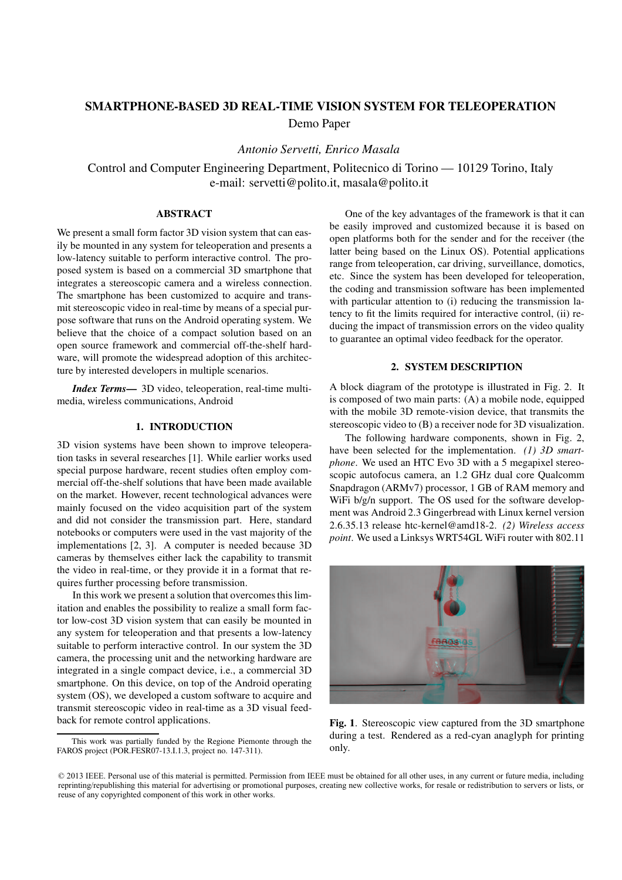# SMARTPHONE-BASED 3D REAL-TIME VISION SYSTEM FOR TELEOPERATION

Demo Paper

*Antonio Servetti, Enrico Masala*

Control and Computer Engineering Department, Politecnico di Torino — 10129 Torino, Italy e-mail: servetti@polito.it, masala@polito.it

## ABSTRACT

We present a small form factor 3D vision system that can easily be mounted in any system for teleoperation and presents a low-latency suitable to perform interactive control. The proposed system is based on a commercial 3D smartphone that integrates a stereoscopic camera and a wireless connection. The smartphone has been customized to acquire and transmit stereoscopic video in real-time by means of a special purpose software that runs on the Android operating system. We believe that the choice of a compact solution based on an open source framework and commercial off-the-shelf hardware, will promote the widespread adoption of this architecture by interested developers in multiple scenarios.

*Index Terms*— 3D video, teleoperation, real-time multimedia, wireless communications, Android

### 1. INTRODUCTION

3D vision systems have been shown to improve teleoperation tasks in several researches [1]. While earlier works used special purpose hardware, recent studies often employ commercial off-the-shelf solutions that have been made available on the market. However, recent technological advances were mainly focused on the video acquisition part of the system and did not consider the transmission part. Here, standard notebooks or computers were used in the vast majority of the implementations [2, 3]. A computer is needed because 3D cameras by themselves either lack the capability to transmit the video in real-time, or they provide it in a format that requires further processing before transmission.

In this work we present a solution that overcomes this limitation and enables the possibility to realize a small form factor low-cost 3D vision system that can easily be mounted in any system for teleoperation and that presents a low-latency suitable to perform interactive control. In our system the 3D camera, the processing unit and the networking hardware are integrated in a single compact device, i.e., a commercial 3D smartphone. On this device, on top of the Android operating system (OS), we developed a custom software to acquire and transmit stereoscopic video in real-time as a 3D visual feedback for remote control applications.

One of the key advantages of the framework is that it can be easily improved and customized because it is based on open platforms both for the sender and for the receiver (the latter being based on the Linux OS). Potential applications range from teleoperation, car driving, surveillance, domotics, etc. Since the system has been developed for teleoperation, the coding and transmission software has been implemented with particular attention to (i) reducing the transmission latency to fit the limits required for interactive control, (ii) reducing the impact of transmission errors on the video quality to guarantee an optimal video feedback for the operator.

## 2. SYSTEM DESCRIPTION

A block diagram of the prototype is illustrated in Fig. 2. It is composed of two main parts: (A) a mobile node, equipped with the mobile 3D remote-vision device, that transmits the stereoscopic video to (B) a receiver node for 3D visualization.

The following hardware components, shown in Fig. 2, have been selected for the implementation. *(1) 3D smartphone*. We used an HTC Evo 3D with a 5 megapixel stereoscopic autofocus camera, an 1.2 GHz dual core Qualcomm Snapdragon (ARMv7) processor, 1 GB of RAM memory and WiFi  $b/g/n$  support. The OS used for the software development was Android 2.3 Gingerbread with Linux kernel version 2.6.35.13 release htc-kernel@amd18-2. *(2) Wireless access point*. We used a Linksys WRT54GL WiFi router with 802.11



Fig. 1. Stereoscopic view captured from the 3D smartphone during a test. Rendered as a red-cyan anaglyph for printing only.

This work was partially funded by the Regione Piemonte through the FAROS project (POR.FESR07-13.I.1.3, project no. 147-311).

<sup>© 2013</sup> IEEE. Personal use of this material is permitted. Permission from IEEE must be obtained for all other uses, in any current or future media, including reprinting/republishing this material for advertising or promotional purposes, creating new collective works, for resale or redistribution to servers or lists, or reuse of any copyrighted component of this work in other works.